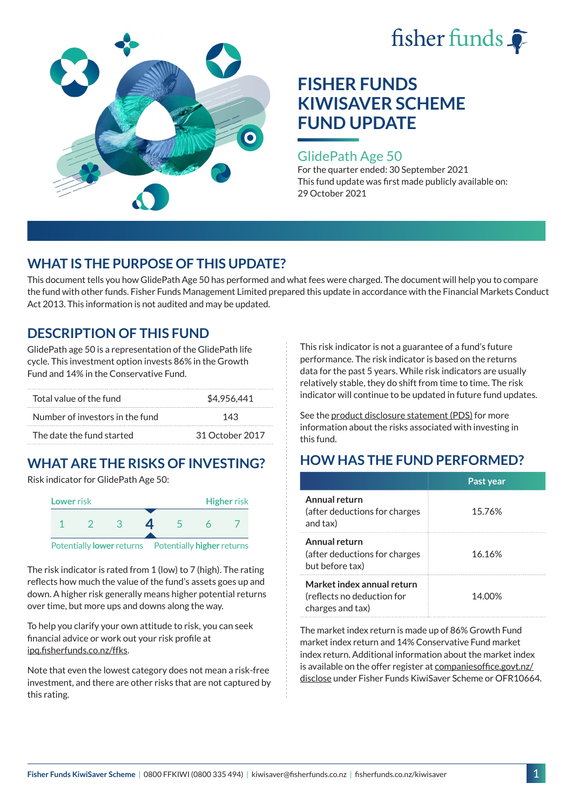



### GlidePath Age 50

For the quarter ended: 30 September 2021 This fund update was first made publicly available on: 29 October 2021

## **WHAT IS THE PURPOSE OF THIS UPDATE?**

This document tells you how GlidePath Age 50 has performed and what fees were charged. The document will help you to compare the fund with other funds. Fisher Funds Management Limited prepared this update in accordance with the Financial Markets Conduct Act 2013. This information is not audited and may be updated.

## **DESCRIPTION OF THIS FUND**

GlidePath age 50 is a representation of the GlidePath life cycle. This investment option invests 86% in the Growth Fund and 14% in the Conservative Fund.

| Total value of the fund         | \$4,956,441     |
|---------------------------------|-----------------|
| Number of investors in the fund | 143             |
| The date the fund started       | 31 October 2017 |

# **WHAT ARE THE RISKS OF INVESTING?**

Risk indicator for GlidePath Age 50:



The risk indicator is rated from 1 (low) to 7 (high). The rating reflects how much the value of the fund's assets goes up and down. A higher risk generally means higher potential returns over time, but more ups and downs along the way.

To help you clarify your own attitude to risk, you can seek financial advice or work out your risk profile at [ipq.fisherfunds.co.nz/ffks](https://ipq.fisherfunds.co.nz/ffks).

Note that even the lowest category does not mean a risk-free investment, and there are other risks that are not captured by this rating.

This risk indicator is not a guarantee of a fund's future performance. The risk indicator is based on the returns data for the past 5 years. While risk indicators are usually relatively stable, they do shift from time to time. The risk indicator will continue to be updated in future fund updates.

See the [product disclosure statement \(PDS\)](https://fisherfunds.co.nz/assets/PDS/Fisher-Funds-KiwiSaver-Scheme-PDS.pdf) for more information about the risks associated with investing in this fund.

## **HOW HAS THE FUND PERFORMED?**

|                                                                              | Past year |
|------------------------------------------------------------------------------|-----------|
| Annual return<br>(after deductions for charges<br>and tax)                   | 15.76%    |
| Annual return<br>(after deductions for charges<br>but before tax)            | 16.16%    |
| Market index annual return<br>(reflects no deduction for<br>charges and tax) | 14.00%    |

The market index return is made up of 86% Growth Fund market index return and 14% Conservative Fund market index return. Additional information about the market index is available on the offer register at [companiesoffice.govt.nz/](http://companiesoffice.govt.nz/disclose) [disclose](http://companiesoffice.govt.nz/disclose) under Fisher Funds KiwiSaver Scheme or OFR10664.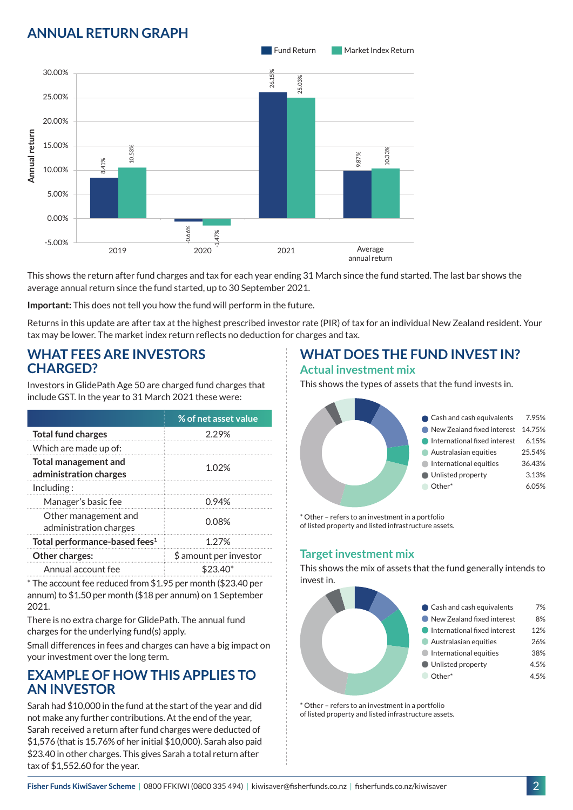## **ANNUAL RETURN GRAPH**



This shows the return after fund charges and tax for each year ending 31 March since the fund started. The last bar shows the average annual return since the fund started, up to 30 September 2021.

**Important:** This does not tell you how the fund will perform in the future.

Returns in this update are after tax at the highest prescribed investor rate (PIR) of tax for an individual New Zealand resident. Your tax may be lower. The market index return reflects no deduction for charges and tax.

### **WHAT FEES ARE INVESTORS CHARGED?**

Investors in GlidePath Age 50 are charged fund charges that include GST. In the year to 31 March 2021 these were:

|                                                       | % of net asset value   |
|-------------------------------------------------------|------------------------|
| <b>Total fund charges</b>                             | 2.29%                  |
| Which are made up of:                                 |                        |
| <b>Total management and</b><br>administration charges | 1.02%                  |
| Inding:                                               |                        |
| Manager's basic fee                                   | 0.94%                  |
| Other management and<br>administration charges        | 0.08%                  |
| Total performance-based fees <sup>1</sup>             | 1.27%                  |
| Other charges:                                        | \$ amount per investor |
| Annual account fee                                    | \$23.40*               |

\* The account fee reduced from \$1.95 per month (\$23.40 per annum) to \$1.50 per month (\$18 per annum) on 1 September 2021.

There is no extra charge for GlidePath. The annual fund charges for the underlying fund(s) apply.

Small differences in fees and charges can have a big impact on your investment over the long term.

## **EXAMPLE OF HOW THIS APPLIES TO AN INVESTOR**

Sarah had \$10,000 in the fund at the start of the year and did not make any further contributions. At the end of the year, Sarah received a return after fund charges were deducted of \$1,576 (that is 15.76% of her initial \$10,000). Sarah also paid \$23.40 in other charges. This gives Sarah a total return after tax of \$1,552.60 for the year.

# **WHAT DOES THE FUND INVEST IN?**

#### **Actual investment mix**

This shows the types of assets that the fund invests in.



\* Other – refers to an investment in a portfolio of listed property and listed infrastructure assets.

### **Target investment mix**

This shows the mix of assets that the fund generally intends to invest in.



\* Other – refers to an investment in a portfolio of listed property and listed infrastructure assets.